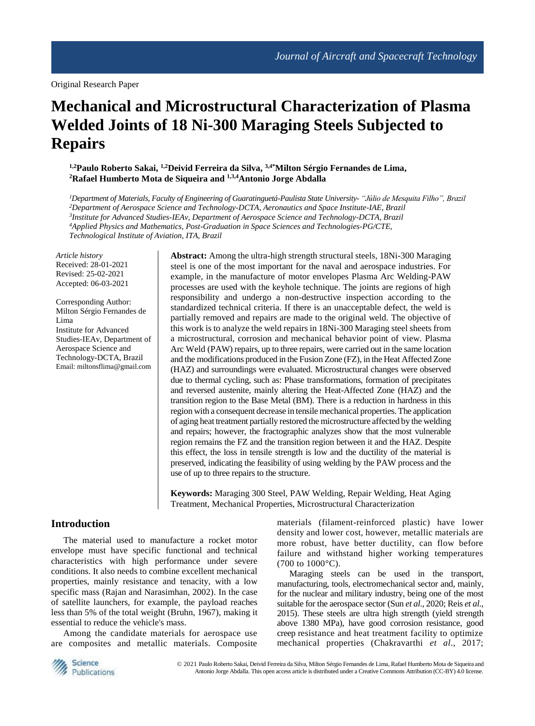# **Mechanical and Microstructural Characterization of Plasma Welded Joints of 18 Ni-300 Maraging Steels Subjected to Repairs**

**1,2Paulo Roberto Sakai, 1,2Deivid Ferreira da Silva, 3,4\*Milton Sérgio Fernandes de Lima, <sup>2</sup>Rafael Humberto Mota de Siqueira and 1,3,4Antonio Jorge Abdalla**

*Department of Materials, Faculty of Engineering of Guaratinguetá-Paulista State University- "Júlio de Mesquita Filho", Brazil Department of Aerospace Science and Technology-DCTA, Aeronautics and Space Institute-IAE, Brazil Institute for Advanced Studies-IEAv, Department of Aerospace Science and Technology-DCTA, Brazil Applied Physics and Mathematics, Post-Graduation in Space Sciences and Technologies-PG/CTE, Technological Institute of Aviation, ITA, Brazil*

*Article history* Received: 28-01-2021 Revised: 25-02-2021 Accepted: 06-03-2021

Corresponding Author: Milton Sérgio Fernandes de Lima Institute for Advanced Studies-IEAv, Department of Aerospace Science and Technology-DCTA, Brazil Email: miltonsflima@gmail.com

**Abstract:** Among the ultra-high strength structural steels, 18Ni-300 Maraging steel is one of the most important for the naval and aerospace industries. For example, in the manufacture of motor envelopes Plasma Arc Welding-PAW processes are used with the keyhole technique. The joints are regions of high responsibility and undergo a non-destructive inspection according to the standardized technical criteria. If there is an unacceptable defect, the weld is partially removed and repairs are made to the original weld. The objective of this work is to analyze the weld repairs in 18Ni-300 Maraging steel sheets from a microstructural, corrosion and mechanical behavior point of view. Plasma Arc Weld (PAW) repairs, up to three repairs, were carried out in the same location and the modifications produced in the Fusion Zone (FZ), in the Heat Affected Zone (HAZ) and surroundings were evaluated. Microstructural changes were observed due to thermal cycling, such as: Phase transformations, formation of precipitates and reversed austenite, mainly altering the Heat-Affected Zone (HAZ) and the transition region to the Base Metal (BM). There is a reduction in hardness in this region with a consequent decrease in tensile mechanical properties. The application of aging heat treatment partially restored the microstructure affected by the welding and repairs; however, the fractographic analyzes show that the most vulnerable region remains the FZ and the transition region between it and the HAZ. Despite this effect, the loss in tensile strength is low and the ductility of the material is preserved, indicating the feasibility of using welding by the PAW process and the use of up to three repairs to the structure.

**Keywords:** Maraging 300 Steel, PAW Welding, Repair Welding, Heat Aging Treatment, Mechanical Properties, Microstructural Characterization

# **Introduction**

The material used to manufacture a rocket motor envelope must have specific functional and technical characteristics with high performance under severe conditions. It also needs to combine excellent mechanical properties, mainly resistance and tenacity, with a low specific mass (Rajan and Narasimhan, 2002). In the case of satellite launchers, for example, the payload reaches less than 5% of the total weight (Bruhn, 1967), making it essential to reduce the vehicle's mass.

Among the candidate materials for aerospace use are composites and metallic materials. Composite materials (filament-reinforced plastic) have lower density and lower cost, however, metallic materials are more robust, have better ductility, can flow before failure and withstand higher working temperatures (700 to 1000°C).

Maraging steels can be used in the transport, manufacturing, tools, electromechanical sector and, mainly, for the nuclear and military industry, being one of the most suitable for the aerospace sector (Sun *et al*., 2020; Reis *et al*., 2015). These steels are ultra high strength (yield strength above 1380 MPa), have good corrosion resistance, good creep resistance and heat treatment facility to optimize mechanical properties (Chakravarthi *et al*., 2017;

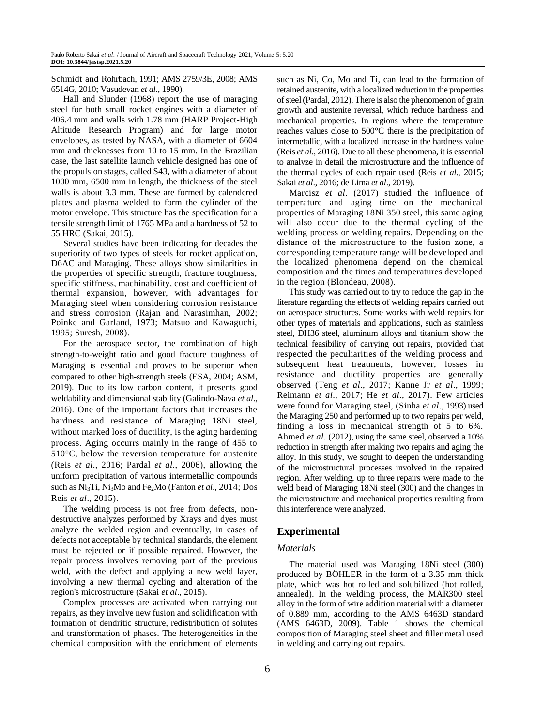Schmidt and Rohrbach, 1991; AMS 2759/3E, 2008; AMS 6514G, 2010; Vasudevan *et al*., 1990).

Hall and Slunder (1968) report the use of maraging steel for both small rocket engines with a diameter of 406.4 mm and walls with 1.78 mm (HARP Project-High Altitude Research Program) and for large motor envelopes, as tested by NASA, with a diameter of 6604 mm and thicknesses from 10 to 15 mm. In the Brazilian case, the last satellite launch vehicle designed has one of the propulsion stages, called S43, with a diameter of about 1000 mm, 6500 mm in length, the thickness of the steel walls is about 3.3 mm. These are formed by calendered plates and plasma welded to form the cylinder of the motor envelope. This structure has the specification for a tensile strength limit of 1765 MPa and a hardness of 52 to 55 HRC (Sakai, 2015).

Several studies have been indicating for decades the superiority of two types of steels for rocket application, D6AC and Maraging. These alloys show similarities in the properties of specific strength, fracture toughness, specific stiffness, machinability, cost and coefficient of thermal expansion, however, with advantages for Maraging steel when considering corrosion resistance and stress corrosion (Rajan and Narasimhan, 2002; Poinke and Garland, 1973; Matsuo and Kawaguchi, 1995; Suresh, 2008).

For the aerospace sector, the combination of high strength-to-weight ratio and good fracture toughness of Maraging is essential and proves to be superior when compared to other high-strength steels (ESA, 2004; ASM, 2019). Due to its low carbon content, it presents good weldability and dimensional stability (Galindo-Nava *et al*., 2016). One of the important factors that increases the hardness and resistance of Maraging 18Ni steel, without marked loss of ductility, is the aging hardening process. Aging occurrs mainly in the range of 455 to 510°C, below the reversion temperature for austenite (Reis *et al*., 2016; Pardal *et al*., 2006), allowing the uniform precipitation of various intermetallic compounds such as Ni3Ti, Ni3Mo and Fe2Mo (Fanton *et al*., 2014; Dos Reis *et al*., 2015).

The welding process is not free from defects, nondestructive analyzes performed by Xrays and dyes must analyze the welded region and eventually, in cases of defects not acceptable by technical standards, the element must be rejected or if possible repaired. However, the repair process involves removing part of the previous weld, with the defect and applying a new weld layer, involving a new thermal cycling and alteration of the region's microstructure (Sakai *et al*., 2015).

Complex processes are activated when carrying out repairs, as they involve new fusion and solidification with formation of dendritic structure, redistribution of solutes and transformation of phases. The heterogeneities in the chemical composition with the enrichment of elements such as Ni, Co, Mo and Ti, can lead to the formation of retained austenite, with a localized reduction in the properties of steel(Pardal, 2012). There is also the phenomenon of grain growth and austenite reversal, which reduce hardness and mechanical properties. In regions where the temperature reaches values close to 500°C there is the precipitation of intermetallic, with a localized increase in the hardness value (Reis *et al*., 2016). Due to all these phenomena, it is essential to analyze in detail the microstructure and the influence of the thermal cycles of each repair used (Reis *et al*., 2015; Sakai *et al*., 2016; de Lima *et al*., 2019).

Marcisz *et al*. (2017) studied the influence of temperature and aging time on the mechanical properties of Maraging 18Ni 350 steel, this same aging will also occur due to the thermal cycling of the welding process or welding repairs. Depending on the distance of the microstructure to the fusion zone, a corresponding temperature range will be developed and the localized phenomena depend on the chemical composition and the times and temperatures developed in the region (Blondeau, 2008).

This study was carried out to try to reduce the gap in the literature regarding the effects of welding repairs carried out on aerospace structures. Some works with weld repairs for other types of materials and applications, such as stainless steel, DH36 steel, aluminum alloys and titanium show the technical feasibility of carrying out repairs, provided that respected the peculiarities of the welding process and subsequent heat treatments, however, losses in resistance and ductility properties are generally observed (Teng *et al*., 2017; Kanne Jr *et al*., 1999; Reimann *et al*., 2017; He *et al*., 2017). Few articles were found for Maraging steel, (Sinha *et al*., 1993) used the Maraging 250 and performed up to two repairs per weld, finding a loss in mechanical strength of 5 to 6%. Ahmed *et al*. (2012), using the same steel, observed a 10% reduction in strength after making two repairs and aging the alloy. In this study, we sought to deepen the understanding of the microstructural processes involved in the repaired region. After welding, up to three repairs were made to the weld bead of Maraging 18Ni steel (300) and the changes in the microstructure and mechanical properties resulting from this interference were analyzed.

# **Experimental**

# *Materials*

The material used was Maraging 18Ni steel (300) produced by BÖHLER in the form of a 3.35 mm thick plate, which was hot rolled and solubilized (hot rolled, annealed). In the welding process, the MAR300 steel alloy in the form of wire addition material with a diameter of 0.889 mm, according to the AMS 6463D standard (AMS 6463D, 2009). Table 1 shows the chemical composition of Maraging steel sheet and filler metal used in welding and carrying out repairs.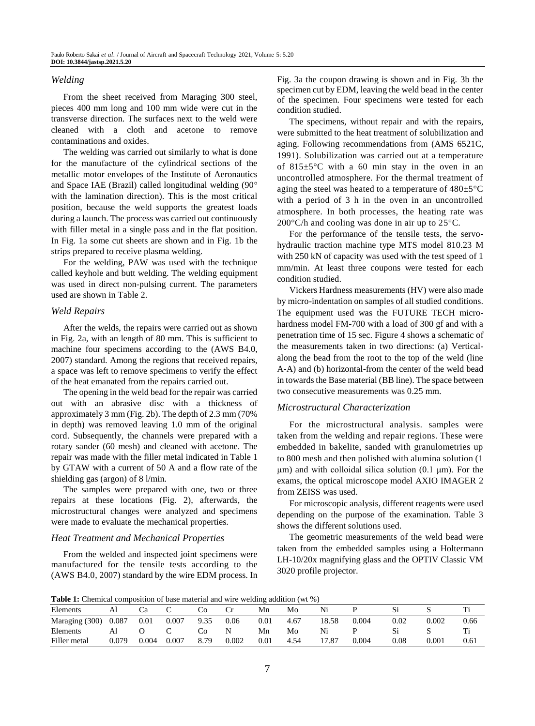#### *Welding*

From the sheet received from Maraging 300 steel, pieces 400 mm long and 100 mm wide were cut in the transverse direction. The surfaces next to the weld were cleaned with a cloth and acetone to remove contaminations and oxides.

The welding was carried out similarly to what is done for the manufacture of the cylindrical sections of the metallic motor envelopes of the Institute of Aeronautics and Space IAE (Brazil) called longitudinal welding (90° with the lamination direction). This is the most critical position, because the weld supports the greatest loads during a launch. The process was carried out continuously with filler metal in a single pass and in the flat position. In Fig. 1a some cut sheets are shown and in Fig. 1b the strips prepared to receive plasma welding.

For the welding, PAW was used with the technique called keyhole and butt welding. The welding equipment was used in direct non-pulsing current. The parameters used are shown in Table 2.

#### *Weld Repairs*

After the welds, the repairs were carried out as shown in Fig. 2a, with an length of 80 mm. This is sufficient to machine four specimens according to the (AWS B4.0, 2007) standard. Among the regions that received repairs, a space was left to remove specimens to verify the effect of the heat emanated from the repairs carried out.

The opening in the weld bead for the repair was carried out with an abrasive disc with a thickness of approximately 3 mm (Fig. 2b). The depth of 2.3 mm (70% in depth) was removed leaving 1.0 mm of the original cord. Subsequently, the channels were prepared with a rotary sander (60 mesh) and cleaned with acetone. The repair was made with the filler metal indicated in Table 1 by GTAW with a current of 50 A and a flow rate of the shielding gas (argon) of 8 l/min.

The samples were prepared with one, two or three repairs at these locations (Fig. 2), afterwards, the microstructural changes were analyzed and specimens were made to evaluate the mechanical properties.

#### *Heat Treatment and Mechanical Properties*

From the welded and inspected joint specimens were manufactured for the tensile tests according to the (AWS B4.0, 2007) standard by the wire EDM process. In Fig. 3a the coupon drawing is shown and in Fig. 3b the specimen cut by EDM, leaving the weld bead in the center of the specimen. Four specimens were tested for each condition studied.

The specimens, without repair and with the repairs, were submitted to the heat treatment of solubilization and aging. Following recommendations from (AMS 6521C, 1991). Solubilization was carried out at a temperature of 815±5°C with a 60 min stay in the oven in an uncontrolled atmosphere. For the thermal treatment of aging the steel was heated to a temperature of 480±5°C with a period of 3 h in the oven in an uncontrolled atmosphere. In both processes, the heating rate was 200°C/h and cooling was done in air up to 25°C.

For the performance of the tensile tests, the servohydraulic traction machine type MTS model 810.23 M with 250 kN of capacity was used with the test speed of 1 mm/min. At least three coupons were tested for each condition studied.

Vickers Hardness measurements (HV) were also made by micro-indentation on samples of all studied conditions. The equipment used was the FUTURE TECH microhardness model FM-700 with a load of 300 gf and with a penetration time of 15 sec. Figure 4 shows a schematic of the measurements taken in two directions: (a) Verticalalong the bead from the root to the top of the weld (line A-A) and (b) horizontal-from the center of the weld bead in towards the Base material (BB line). The space between two consecutive measurements was 0.25 mm.

#### *Microstructural Characterization*

For the microstructural analysis. samples were taken from the welding and repair regions. These were embedded in bakelite, sanded with granulometries up to 800 mesh and then polished with alumina solution (1 μm) and with colloidal silica solution  $(0.1 \mu m)$ . For the exams, the optical microscope model AXIO IMAGER 2 from ZEISS was used.

For microscopic analysis, different reagents were used depending on the purpose of the examination. Table 3 shows the different solutions used.

The geometric measurements of the weld bead were taken from the embedded samples using a Holtermann LH-10/20x magnifying glass and the OPTIV Classic VM 3020 profile projector.

**Table 1:** Chemical composition of base material and wire welding addition (wt %)

| Elements       |       | Cα    | ◡     | CC   |       | Mn       | Mo   | N1    |       |               |       |      |
|----------------|-------|-------|-------|------|-------|----------|------|-------|-------|---------------|-------|------|
| Maraging (300) | 0.087 | 0.01  | 0.007 | 9.35 | 0.06  | $0.01\,$ | 4.67 | 18.58 | 0.004 | 0.02          | 0.002 | 0.66 |
| Elements       |       |       |       | UС   |       | Mn       | Mo   |       |       | $\mathbf{S}1$ | ັ     |      |
| Filler metal   | 0.079 | 0.004 | 0.007 | 8.79 | 0.002 | $0.01\,$ | 4.54 |       | 0.004 | $0.08\,$      | 0.001 | 0.61 |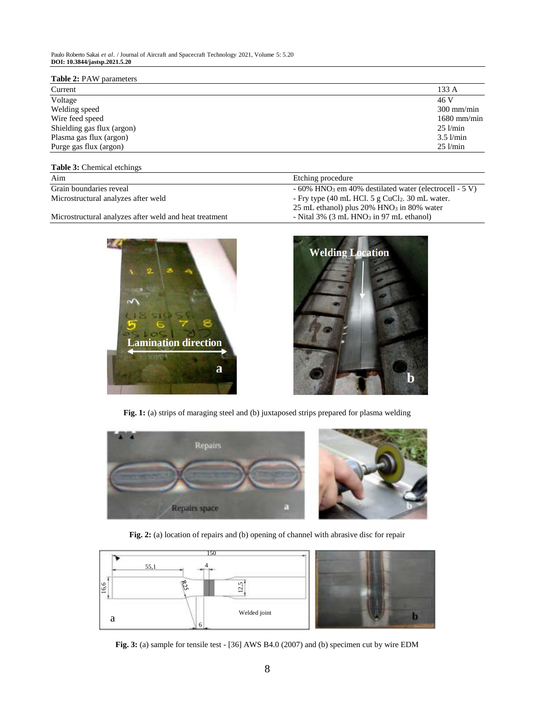#### **Table 2:** PAW parameters

| Current                    | 133 A         |
|----------------------------|---------------|
| Voltage                    | 46 V          |
| Welding speed              | $300$ mm/min  |
| Wire feed speed            | $1680$ mm/min |
| Shielding gas flux (argon) | $25$ $1/min$  |
| Plasma gas flux (argon)    | $3.5$ $1/min$ |
| Purge gas flux (argon)     | $25$ $1/min$  |
|                            |               |

# **Table 3:** Chemical etchings

| Aim                                 | Etching procedure                                                     |  |  |
|-------------------------------------|-----------------------------------------------------------------------|--|--|
| Grain boundaries reveal             | $-60\%$ HNO <sub>3</sub> em 40% destilated water (electrocell $-5$ V) |  |  |
| Microstructural analyzes after weld | - Fry type $(40 \text{ mL HCl. } 5 \text{ g CuCl}_2$ . 30 mL water.   |  |  |
|                                     | 25 mL ethanol) plus $20\%$ HNO <sub>3</sub> in 80% water              |  |  |

Microstructural analyzes after weld and heat treatment - Nital 3% (3 mL HNO3 in 97 mL ethanol)





Fig. 1: (a) strips of maraging steel and (b) juxtaposed strips prepared for plasma welding



**Fig. 2:** (a) location of repairs and (b) opening of channel with abrasive disc for repair



**Fig. 3:** (a) sample for tensile test - [36] AWS B4.0 (2007) and (b) specimen cut by wire EDM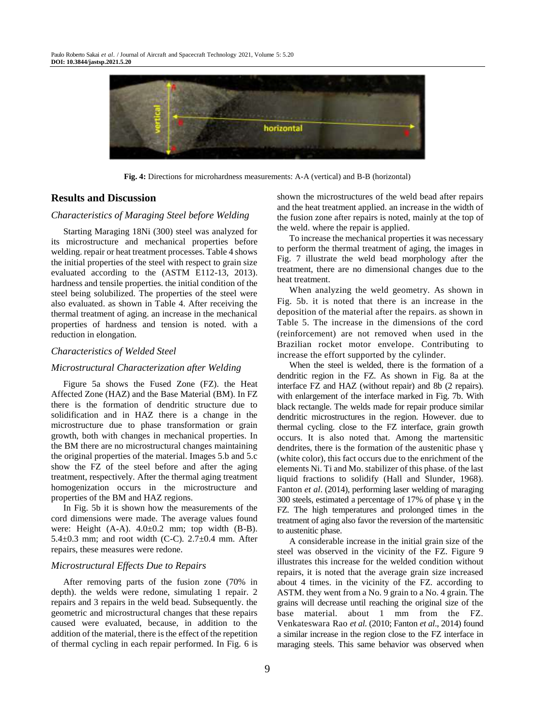

**Fig. 4:** Directions for microhardness measurements: A-A (vertical) and B-B (horizontal)

# **Results and Discussion**

#### *Characteristics of Maraging Steel before Welding*

Starting Maraging 18Ni (300) steel was analyzed for its microstructure and mechanical properties before welding. repair or heat treatment processes. Table 4 shows the initial properties of the steel with respect to grain size evaluated according to the (ASTM E112-13, 2013). hardness and tensile properties. the initial condition of the steel being solubilized. The properties of the steel were also evaluated. as shown in Table 4. After receiving the thermal treatment of aging. an increase in the mechanical properties of hardness and tension is noted. with a reduction in elongation.

## *Characteristics of Welded Steel*

# *Microstructural Characterization after Welding*

Figure 5a shows the Fused Zone (FZ). the Heat Affected Zone (HAZ) and the Base Material (BM). In FZ there is the formation of dendritic structure due to solidification and in HAZ there is a change in the microstructure due to phase transformation or grain growth, both with changes in mechanical properties. In the BM there are no microstructural changes maintaining the original properties of the material. Images 5.b and 5.c show the FZ of the steel before and after the aging treatment, respectively. After the thermal aging treatment homogenization occurs in the microstructure and properties of the BM and HAZ regions.

In Fig. 5b it is shown how the measurements of the cord dimensions were made. The average values found were: Height (A-A). 4.0±0.2 mm; top width (B-B). 5.4 $\pm$ 0.3 mm; and root width (C-C). 2.7 $\pm$ 0.4 mm. After repairs, these measures were redone.

#### *Microstructural Effects Due to Repairs*

After removing parts of the fusion zone (70% in depth). the welds were redone, simulating 1 repair. 2 repairs and 3 repairs in the weld bead. Subsequently. the geometric and microstructural changes that these repairs caused were evaluated, because, in addition to the addition of the material, there is the effect of the repetition of thermal cycling in each repair performed. In Fig. 6 is

shown the microstructures of the weld bead after repairs and the heat treatment applied. an increase in the width of the fusion zone after repairs is noted, mainly at the top of the weld. where the repair is applied.

To increase the mechanical properties it was necessary to perform the thermal treatment of aging, the images in Fig. 7 illustrate the weld bead morphology after the treatment, there are no dimensional changes due to the heat treatment.

When analyzing the weld geometry. As shown in Fig. 5b. it is noted that there is an increase in the deposition of the material after the repairs. as shown in Table 5. The increase in the dimensions of the cord (reinforcement) are not removed when used in the Brazilian rocket motor envelope. Contributing to increase the effort supported by the cylinder.

When the steel is welded, there is the formation of a dendritic region in the FZ. As shown in Fig. 8a at the interface FZ and HAZ (without repair) and 8b (2 repairs). with enlargement of the interface marked in Fig. 7b. With black rectangle. The welds made for repair produce similar dendritic microstructures in the region. However. due to thermal cycling. close to the FZ interface, grain growth occurs. It is also noted that. Among the martensitic dendrites, there is the formation of the austenitic phase ɣ (white color), this fact occurs due to the enrichment of the elements Ni. Ti and Mo. stabilizer of this phase. of the last liquid fractions to solidify (Hall and Slunder, 1968). Fanton *et al*. (2014), performing laser welding of maraging 300 steels, estimated a percentage of 17% of phase ɣ in the FZ. The high temperatures and prolonged times in the treatment of aging also favor the reversion of the martensitic to austenitic phase.

A considerable increase in the initial grain size of the steel was observed in the vicinity of the FZ. Figure 9 illustrates this increase for the welded condition without repairs, it is noted that the average grain size increased about 4 times. in the vicinity of the FZ. according to ASTM. they went from a No. 9 grain to a No. 4 grain. The grains will decrease until reaching the original size of the base material. about 1 mm from the FZ. Venkateswara Rao *et al*. (2010; Fanton *et al*., 2014) found a similar increase in the region close to the FZ interface in maraging steels. This same behavior was observed when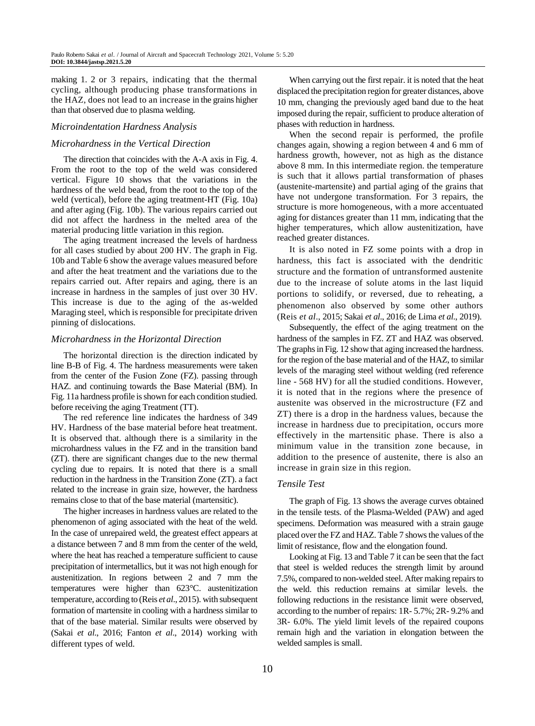making 1. 2 or 3 repairs, indicating that the thermal cycling, although producing phase transformations in the HAZ, does not lead to an increase in the grains higher than that observed due to plasma welding.

### *Microindentation Hardness Analysis*

#### *Microhardness in the Vertical Direction*

The direction that coincides with the A-A axis in Fig. 4. From the root to the top of the weld was considered vertical. Figure 10 shows that the variations in the hardness of the weld bead, from the root to the top of the weld (vertical), before the aging treatment-HT (Fig. 10a) and after aging (Fig. 10b). The various repairs carried out did not affect the hardness in the melted area of the material producing little variation in this region.

The aging treatment increased the levels of hardness for all cases studied by about 200 HV. The graph in Fig. 10b and Table 6 show the average values measured before and after the heat treatment and the variations due to the repairs carried out. After repairs and aging, there is an increase in hardness in the samples of just over 30 HV. This increase is due to the aging of the as-welded Maraging steel, which is responsible for precipitate driven pinning of dislocations.

## *Microhardness in the Horizontal Direction*

The horizontal direction is the direction indicated by line B-B of Fig. 4. The hardness measurements were taken from the center of the Fusion Zone (FZ). passing through HAZ. and continuing towards the Base Material (BM). In Fig. 11a hardness profile is shown for each condition studied. before receiving the aging Treatment (TT).

The red reference line indicates the hardness of 349 HV. Hardness of the base material before heat treatment. It is observed that. although there is a similarity in the microhardness values in the FZ and in the transition band (ZT). there are significant changes due to the new thermal cycling due to repairs. It is noted that there is a small reduction in the hardness in the Transition Zone (ZT). a fact related to the increase in grain size, however, the hardness remains close to that of the base material (martensitic).

The higher increases in hardness values are related to the phenomenon of aging associated with the heat of the weld. In the case of unrepaired weld, the greatest effect appears at a distance between 7 and 8 mm from the center of the weld, where the heat has reached a temperature sufficient to cause precipitation of intermetallics, but it was not high enough for austenitization. In regions between 2 and 7 mm the temperatures were higher than 623°C. austenitization temperature, according to (Reis *et al*., 2015). with subsequent formation of martensite in cooling with a hardness similar to that of the base material. Similar results were observed by (Sakai *et al*., 2016; Fanton *et al*., 2014) working with different types of weld.

When carrying out the first repair. it is noted that the heat displaced the precipitation region for greater distances, above 10 mm, changing the previously aged band due to the heat imposed during the repair, sufficient to produce alteration of phases with reduction in hardness.

When the second repair is performed, the profile changes again, showing a region between 4 and 6 mm of hardness growth, however, not as high as the distance above 8 mm. In this intermediate region. the temperature is such that it allows partial transformation of phases (austenite-martensite) and partial aging of the grains that have not undergone transformation. For 3 repairs, the structure is more homogeneous, with a more accentuated aging for distances greater than 11 mm, indicating that the higher temperatures, which allow austenitization, have reached greater distances.

It is also noted in FZ some points with a drop in hardness, this fact is associated with the dendritic structure and the formation of untransformed austenite due to the increase of solute atoms in the last liquid portions to solidify, or reversed, due to reheating, a phenomenon also observed by some other authors (Reis *et al*., 2015; Sakai *et al*., 2016; de Lima *et al*., 2019).

Subsequently, the effect of the aging treatment on the hardness of the samples in FZ. ZT and HAZ was observed. The graphs in Fig. 12 show that aging increased the hardness. for the region of the base material and of the HAZ, to similar levels of the maraging steel without welding (red reference line - 568 HV) for all the studied conditions. However, it is noted that in the regions where the presence of austenite was observed in the microstructure (FZ and ZT) there is a drop in the hardness values, because the increase in hardness due to precipitation, occurs more effectively in the martensitic phase. There is also a minimum value in the transition zone because, in addition to the presence of austenite, there is also an increase in grain size in this region.

#### *Tensile Test*

The graph of Fig. 13 shows the average curves obtained in the tensile tests. of the Plasma-Welded (PAW) and aged specimens. Deformation was measured with a strain gauge placed over the FZ and HAZ. Table 7 shows the values of the limit of resistance, flow and the elongation found.

Looking at Fig. 13 and Table 7 it can be seen that the fact that steel is welded reduces the strength limit by around 7.5%, compared to non-welded steel. After making repairs to the weld. this reduction remains at similar levels. the following reductions in the resistance limit were observed, according to the number of repairs: 1R- 5.7%; 2R- 9.2% and 3R- 6.0%. The yield limit levels of the repaired coupons remain high and the variation in elongation between the welded samples is small.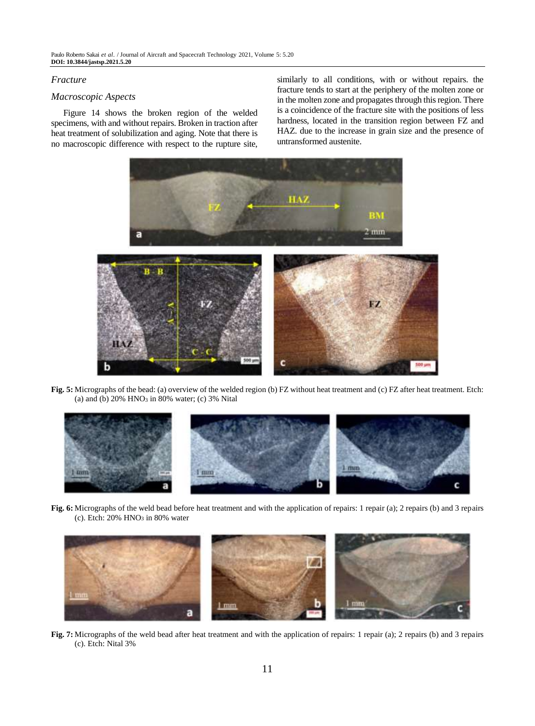# *Fracture*

# *Macroscopic Aspects*

Figure 14 shows the broken region of the welded specimens, with and without repairs. Broken in traction after heat treatment of solubilization and aging. Note that there is no macroscopic difference with respect to the rupture site,

similarly to all conditions, with or without repairs. the fracture tends to start at the periphery of the molten zone or in the molten zone and propagates through this region. There is a coincidence of the fracture site with the positions of less hardness, located in the transition region between FZ and HAZ. due to the increase in grain size and the presence of untransformed austenite.



**Fig. 5:** Micrographs of the bead: (a) overview of the welded region (b) FZ without heat treatment and (c) FZ after heat treatment. Etch: (a) and (b)  $20\%$  HNO<sub>3</sub> in 80% water; (c)  $3\%$  Nital



**Fig. 6:** Micrographs of the weld bead before heat treatment and with the application of repairs: 1 repair (a); 2 repairs (b) and 3 repairs (c). Etch:  $20\%$  HNO<sub>3</sub> in 80% water



**Fig. 7:** Micrographs of the weld bead after heat treatment and with the application of repairs: 1 repair (a); 2 repairs (b) and 3 repairs (c). Etch: Nital 3%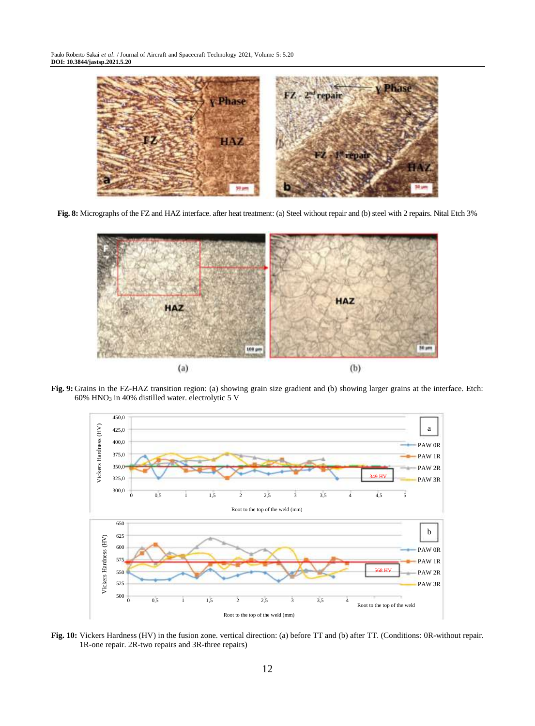

**Fig. 8:** Micrographs of the FZ and HAZ interface. after heat treatment: (a) Steel without repair and (b) steel with 2 repairs. Nital Etch 3%



**Fig. 9:** Grains in the FZ-HAZ transition region: (a) showing grain size gradient and (b) showing larger grains at the interface. Etch: 60% HNO<sup>3</sup> in 40% distilled water. electrolytic 5 V



**Fig. 10:** Vickers Hardness (HV) in the fusion zone. vertical direction: (a) before TT and (b) after TT. (Conditions: 0R-without repair. 1R-one repair. 2R-two repairs and 3R-three repairs)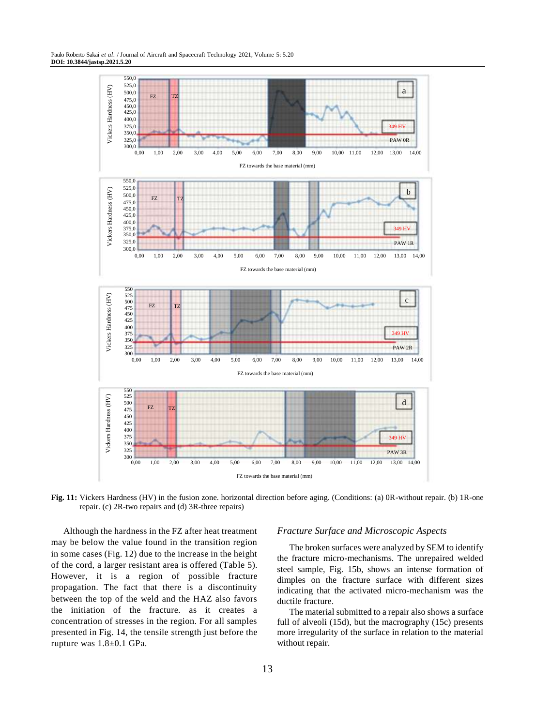

**Fig. 11:** Vickers Hardness (HV) in the fusion zone. horizontal direction before aging. (Conditions: (a) 0R-without repair. (b) 1R-one repair. (c) 2R-two repairs and (d) 3R-three repairs)

Although the hardness in the FZ after heat treatment may be below the value found in the transition region in some cases (Fig. 12) due to the increase in the height of the cord, a larger resistant area is offered (Table 5). However, it is a region of possible fracture propagation. The fact that there is a discontinuity between the top of the weld and the HAZ also favors the initiation of the fracture. as it creates a concentration of stresses in the region. For all samples presented in Fig. 14, the tensile strength just before the rupture was 1.8±0.1 GPa.

#### *Fracture Surface and Microscopic Aspects*

The broken surfaces were analyzed by SEM to identify the fracture micro-mechanisms. The unrepaired welded steel sample, Fig. 15b, shows an intense formation of dimples on the fracture surface with different sizes indicating that the activated micro-mechanism was the ductile fracture.

The material submitted to a repair also shows a surface full of alveoli (15d), but the macrography (15c) presents more irregularity of the surface in relation to the material without repair.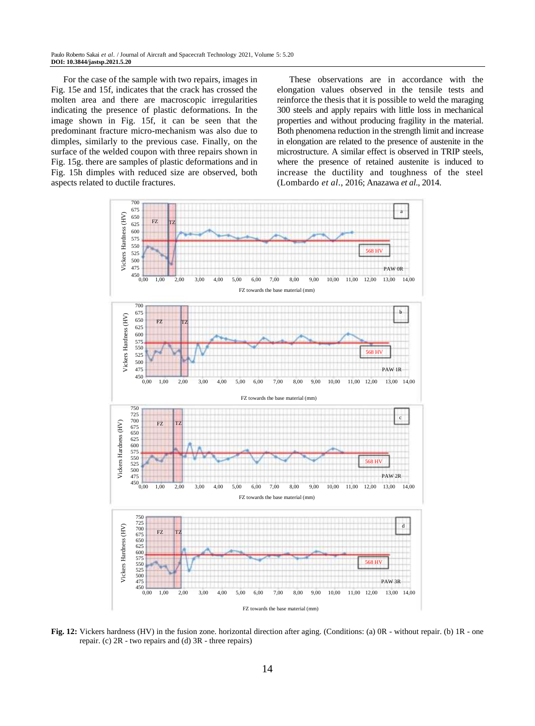For the case of the sample with two repairs, images in Fig. 15e and 15f, indicates that the crack has crossed the molten area and there are macroscopic irregularities indicating the presence of plastic deformations. In the image shown in Fig. 15f, it can be seen that the predominant fracture micro-mechanism was also due to dimples, similarly to the previous case. Finally, on the surface of the welded coupon with three repairs shown in Fig. 15g. there are samples of plastic deformations and in Fig. 15h dimples with reduced size are observed, both aspects related to ductile fractures.

These observations are in accordance with the elongation values observed in the tensile tests and reinforce the thesis that it is possible to weld the maraging 300 steels and apply repairs with little loss in mechanical properties and without producing fragility in the material. Both phenomena reduction in the strength limit and increase in elongation are related to the presence of austenite in the microstructure. A similar effect is observed in TRIP steels, where the presence of retained austenite is induced to increase the ductility and toughness of the steel (Lombardo *et al*., 2016; Anazawa *et al*., 2014.



**Fig. 12:** Vickers hardness (HV) in the fusion zone. horizontal direction after aging. (Conditions: (a) 0R - without repair. (b) 1R - one repair. (c) 2R - two repairs and (d) 3R - three repairs)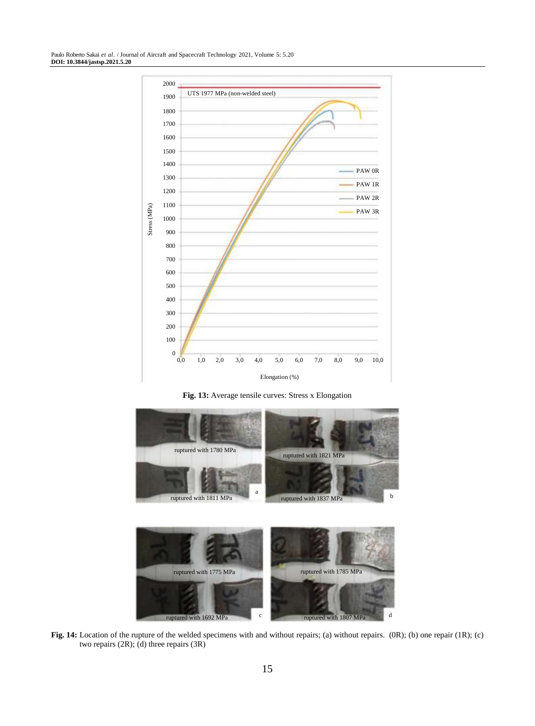

**Fig. 13:** Average tensile curves: Stress x Elongation



**Fig. 14:** Location of the rupture of the welded specimens with and without repairs; (a) without repairs. (0R); (b) one repair (1R); (c) two repairs (2R); (d) three repairs (3R)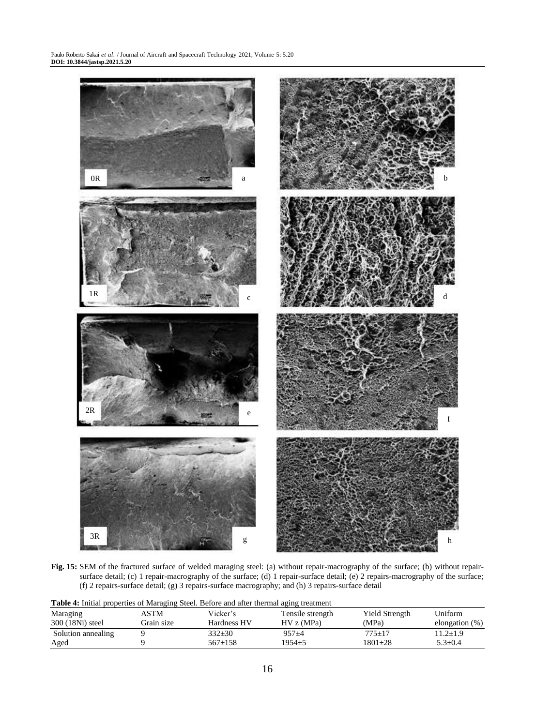

**Fig. 15:** SEM of the fractured surface of welded maraging steel: (a) without repair-macrography of the surface; (b) without repairsurface detail; (c) 1 repair-macrography of the surface; (d) 1 repair-surface detail; (e) 2 repairs-macrography of the surface; (f) 2 repairs-surface detail; (g) 3 repairs-surface macrography; and (h) 3 repairs-surface detail

| Twice in minute properties of managing steem Berore and after member aging treatment |            |             |                  |                |                   |  |
|--------------------------------------------------------------------------------------|------------|-------------|------------------|----------------|-------------------|--|
| Maraging                                                                             | ASTM-      | Vicker's    | Tensile strength | Yield Strength | Uniform           |  |
| 300 (18Ni) steel                                                                     | Grain size | Hardness HV | HV z(MPa)        | (MPa)          | elongation $(\%)$ |  |
| Solution annealing                                                                   |            | $332+30$    | $957 + 4$        | $775+17$       | $11.2 \pm 1.9$    |  |
| Aged                                                                                 |            | $567+158$   | $1954 + 5$       | 1801+28        | $5.3 \pm 0.4$     |  |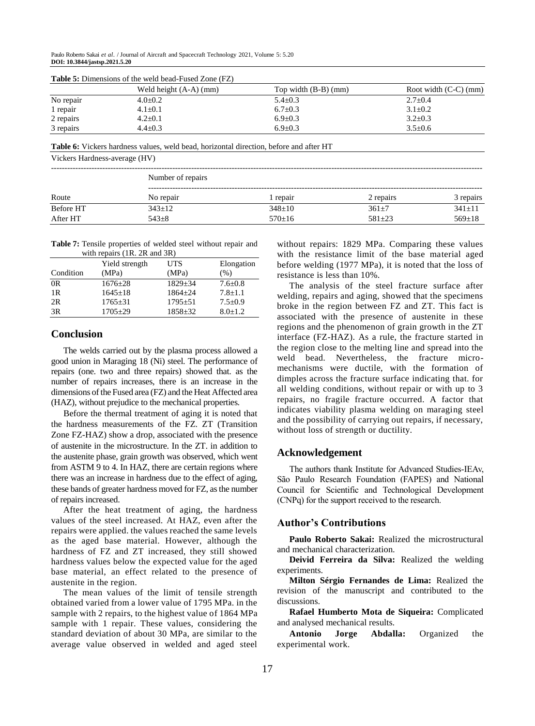|           | Weld height $(A-A)$ (mm) | Top width $(B-B)$ (mm) | Root width $(C-C)$ (mm) |
|-----------|--------------------------|------------------------|-------------------------|
| No repair | $4.0 \pm 0.2$            | $5.4 \pm 0.3$          | $2.7 \pm 0.4$           |
| 1 repair  | $4.1 \pm 0.1$            | $6.7 \pm 0.3$          | $3.1 \pm 0.2$           |
| 2 repairs | $4.2 \pm 0.1$            | $6.9 \pm 0.3$          | $3.2 \pm 0.3$           |
| 3 repairs | $4.4 \pm 0.3$            | $6.9 + 0.3$            | $3.5 + 0.6$             |

**Table 5:** Dimensions of the weld bead-Fused Zone (FZ)

**Table 6:** Vickers hardness values, weld bead, horizontal direction, before and after HT

Vickers Hardness-average (HV)

|           | Number of repairs |              |              |              |  |  |
|-----------|-------------------|--------------|--------------|--------------|--|--|
| Route     | No repair         | repair       | 2 repairs    | 3 repairs    |  |  |
| Before HT | $343 \pm 12$      | $348 \pm 10$ | $361 \pm 7$  | $341 \pm 11$ |  |  |
| After HT  | $543 + 8$         | $570 \pm 16$ | $581 \pm 23$ | $569 \pm 18$ |  |  |

**Table 7:** Tensile properties of welded steel without repair and with repairs (1R. 2R and 3R)

|           | Yield strength | <b>UTS</b>  | Elongation    |  |  |
|-----------|----------------|-------------|---------------|--|--|
| Condition | (MPa)          | (MPa)       | (% )          |  |  |
| OR        | $1676 \pm 28$  | $1829 + 34$ | $7.6 \pm 0.8$ |  |  |
| 1R        | $1645+18$      | $1864 + 24$ | $7.8 + 1.1$   |  |  |
| 2R        | $1765 \pm 31$  | $1795 + 51$ | $7.5+0.9$     |  |  |
| 3R        | $1705 + 29$    | $1858 + 32$ | $8.0 \pm 1.2$ |  |  |

# **Conclusion**

The welds carried out by the plasma process allowed a good union in Maraging 18 (Ni) steel. The performance of repairs (one. two and three repairs) showed that. as the number of repairs increases, there is an increase in the dimensions of the Fused area (FZ) and the Heat Affected area (HAZ), without prejudice to the mechanical properties.

Before the thermal treatment of aging it is noted that the hardness measurements of the FZ. ZT (Transition Zone FZ-HAZ) show a drop, associated with the presence of austenite in the microstructure. In the ZT. in addition to the austenite phase, grain growth was observed, which went from ASTM 9 to 4. In HAZ, there are certain regions where there was an increase in hardness due to the effect of aging, these bands of greater hardness moved for FZ, as the number of repairs increased.

After the heat treatment of aging, the hardness values of the steel increased. At HAZ, even after the repairs were applied. the values reached the same levels as the aged base material. However, although the hardness of FZ and ZT increased, they still showed hardness values below the expected value for the aged base material, an effect related to the presence of austenite in the region.

The mean values of the limit of tensile strength obtained varied from a lower value of 1795 MPa. in the sample with 2 repairs, to the highest value of 1864 MPa sample with 1 repair. These values, considering the standard deviation of about 30 MPa, are similar to the average value observed in welded and aged steel without repairs: 1829 MPa. Comparing these values with the resistance limit of the base material aged before welding (1977 MPa), it is noted that the loss of resistance is less than 10%.

The analysis of the steel fracture surface after welding, repairs and aging, showed that the specimens broke in the region between FZ and ZT. This fact is associated with the presence of austenite in these regions and the phenomenon of grain growth in the ZT interface (FZ-HAZ). As a rule, the fracture started in the region close to the melting line and spread into the weld bead. Nevertheless, the fracture micromechanisms were ductile, with the formation of dimples across the fracture surface indicating that. for all welding conditions, without repair or with up to 3 repairs, no fragile fracture occurred. A factor that indicates viability plasma welding on maraging steel and the possibility of carrying out repairs, if necessary, without loss of strength or ductility.

## **Acknowledgement**

The authors thank Institute for Advanced Studies-IEAv, São Paulo Research Foundation (FAPES) and National Council for Scientific and Technological Development (CNPq) for the support received to the research.

#### **Author's Contributions**

**Paulo Roberto Sakai:** Realized the microstructural and mechanical characterization.

**Deivid Ferreira da Silva:** Realized the welding experiments.

**Milton Sérgio Fernandes de Lima:** Realized the revision of the manuscript and contributed to the discussions.

**Rafael Humberto Mota de Siqueira:** Complicated and analysed mechanical results.

**Antonio Jorge Abdalla:** Organized the experimental work.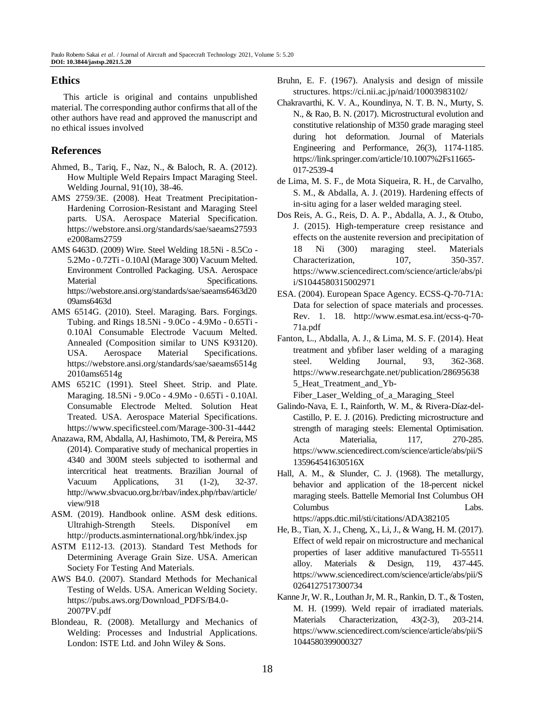# **Ethics**

This article is original and contains unpublished material. The corresponding author confirms that all of the other authors have read and approved the manuscript and no ethical issues involved

# **References**

- Ahmed, B., Tariq, F., Naz, N., & Baloch, R. A. (2012). How Multiple Weld Repairs Impact Maraging Steel. Welding Journal, 91(10), 38-46.
- AMS 2759/3E. (2008). Heat Treatment Precipitation-Hardening Corrosion-Resistant and Maraging Steel parts. USA. Aerospace Material Specification. https://webstore.ansi.org/standards/sae/saeams27593 e2008ams2759
- AMS 6463D. (2009) Wire. Steel Welding 18.5Ni 8.5Co 5.2Mo - 0.72Ti - 0.10Al (Marage 300) Vacuum Melted. Environment Controlled Packaging. USA. Aerospace Material Specifications. https://webstore.ansi.org/standards/sae/saeams6463d20 09ams6463d
- AMS 6514G. (2010). Steel. Maraging. Bars. Forgings. Tubing. and Rings 18.5Ni - 9.0Co - 4.9Mo - 0.65Ti - 0.10Al Consumable Electrode Vacuum Melted. Annealed (Composition similar to UNS K93120). USA. Aerospace Material Specifications. https://webstore.ansi.org/standards/sae/saeams6514g 2010ams6514g
- AMS 6521C (1991). Steel Sheet. Strip. and Plate. Maraging. 18.5Ni - 9.0Co - 4.9Mo - 0.65Ti - 0.10Al. Consumable Electrode Melted. Solution Heat Treated. USA. Aerospace Material Specifications. https://www.specificsteel.com/Marage-300-31-4442
- Anazawa, RM, Abdalla, AJ, Hashimoto, TM, & Pereira, MS (2014). Comparative study of mechanical properties in 4340 and 300M steels subjected to isothermal and intercritical heat treatments. Brazilian Journal of Vacuum Applications, 31 (1-2), 32-37. http://www.sbvacuo.org.br/rbav/index.php/rbav/article/ view/918
- ASM. (2019). Handbook online. ASM desk editions. Ultrahigh-Strength Steels. Disponível em <http://products.asminternational.org/hbk/index.jsp>
- ASTM E112-13. (2013). Standard Test Methods for Determining Average Grain Size. USA. American Society For Testing And Materials.
- AWS B4.0. (2007). Standard Methods for Mechanical Testing of Welds. USA. American Welding Society. https://pubs.aws.org/Download\_PDFS/B4.0- 2007PV.pdf
- Blondeau, R. (2008). Metallurgy and Mechanics of Welding: Processes and Industrial Applications. London: ISTE Ltd. and John Wiley & Sons.
- Bruhn, E. F. (1967). Analysis and design of missile structures. https://ci.nii.ac.jp/naid/10003983102/
- Chakravarthi, K. V. A., Koundinya, N. T. B. N., Murty, S. N., & Rao, B. N. (2017). Microstructural evolution and constitutive relationship of M350 grade maraging steel during hot deformation. Journal of Materials Engineering and Performance, 26(3), 1174-1185. https://link.springer.com/article/10.1007%2Fs11665- 017-2539-4
- de Lima, M. S. F., de Mota Siqueira, R. H., de Carvalho, S. M., & Abdalla, A. J. (2019). Hardening effects of in-situ aging for a laser welded maraging steel.
- Dos Reis, A. G., Reis, D. A. P., Abdalla, A. J., & Otubo, J. (2015). High-temperature creep resistance and effects on the austenite reversion and precipitation of 18 Ni (300) maraging steel. Materials Characterization, 107, 350-357. https://www.sciencedirect.com/science/article/abs/pi i/S1044580315002971
- ESA. (2004). European Space Agency. ECSS-Q-70-71A: Data for selection of space materials and processes. Rev. 1. 18. http://www.esmat.esa.int/ecss-q-70- 71a.pdf
- Fanton, L., Abdalla, A. J., & Lima, M. S. F. (2014). Heat treatment and ybfiber laser welding of a maraging steel. Welding Journal, 93, 362-368. https://www.researchgate.net/publication/28695638 5\_Heat\_Treatment\_and\_Yb-Fiber\_Laser\_Welding\_of\_a\_Maraging\_Steel

Galindo-Nava, E. I., Rainforth, W. M., & Rivera-Díaz-del-Castillo, P. E. J. (2016). Predicting microstructure and strength of maraging steels: Elemental Optimisation. Acta Materialia, 117, 270-285. https://www.sciencedirect.com/science/article/abs/pii/S

Hall, A. M., & Slunder, C. J. (1968). The metallurgy, behavior and application of the 18-percent nickel maraging steels. Battelle Memorial Inst Columbus OH Columbus Labs. https://apps.dtic.mil/sti/citations/ADA382105

135964541630516X

- He, B., Tian, X. J., Cheng, X., Li, J., & Wang, H. M. (2017). Effect of weld repair on microstructure and mechanical properties of laser additive manufactured Ti-55511 alloy. Materials & Design, 119, 437-445. https://www.sciencedirect.com/science/article/abs/pii/S 0264127517300734
- Kanne Jr, W. R., Louthan Jr, M. R., Rankin, D. T., & Tosten, M. H. (1999). Weld repair of irradiated materials. Materials Characterization, 43(2-3), 203-214. https://www.sciencedirect.com/science/article/abs/pii/S 1044580399000327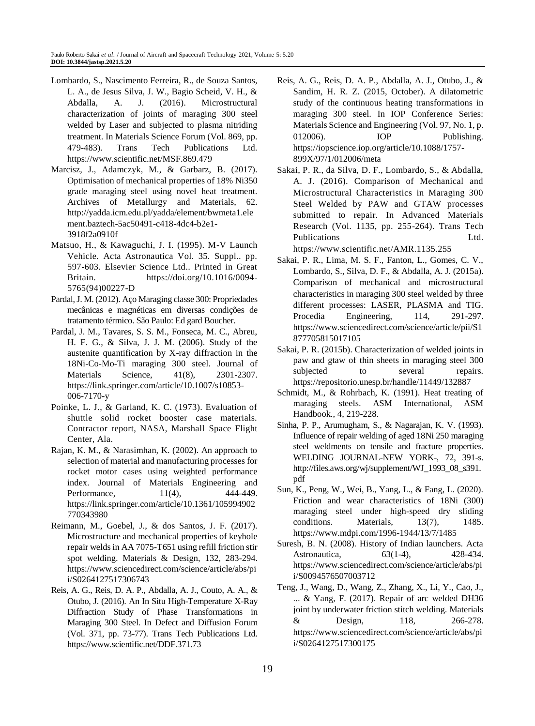- Lombardo, S., Nascimento Ferreira, R., de Souza Santos, L. A., de Jesus Silva, J. W., Bagio Scheid, V. H., & Abdalla, A. J. (2016). Microstructural characterization of joints of maraging 300 steel welded by Laser and subjected to plasma nitriding treatment. In Materials Science Forum (Vol. 869, pp. 479-483). Trans Tech Publications Ltd. https://www.scientific.net/MSF.869.479
- Marcisz, J., Adamczyk, M., & Garbarz, B. (2017). Optimisation of mechanical properties of 18% Ni350 grade maraging steel using novel heat treatment. Archives of Metallurgy and Materials, 62. http://yadda.icm.edu.pl/yadda/element/bwmeta1.ele ment.baztech-5ac50491-c418-4dc4-b2e1- 3918f2a0910f
- Matsuo, H., & Kawaguchi, J. I. (1995). M-V Launch Vehicle. Acta Astronautica Vol. 35. Suppl.. pp. 597-603. Elsevier Science Ltd.. Printed in Great Britain. https://doi.org/10.1016/0094- 5765(94)00227-D
- Pardal, J. M. (2012). Aço Maraging classe 300: Propriedades mecânicas e magnéticas em diversas condições de tratamento térmico. São Paulo: Ed gard Boucher.
- Pardal, J. M., Tavares, S. S. M., Fonseca, M. C., Abreu, H. F. G., & Silva, J. J. M. (2006). Study of the austenite quantification by X-ray diffraction in the 18Ni-Co-Mo-Ti maraging 300 steel. Journal of Materials Science, 41(8), 2301-2307. https://link.springer.com/article/10.1007/s10853- 006-7170-y
- Poinke, L. J., & Garland, K. C. (1973). Evaluation of shuttle solid rocket booster case materials. Contractor report, NASA, Marshall Space Flight Center, Ala.
- Rajan, K. M., & Narasimhan, K. (2002). An approach to selection of material and manufacturing processes for rocket motor cases using weighted performance index. Journal of Materials Engineering and Performance, 11(4), 444-449. https://link.springer.com/article/10.1361/105994902 770343980
- Reimann, M., Goebel, J., & dos Santos, J. F. (2017). Microstructure and mechanical properties of keyhole repair welds in AA 7075-T651 using refill friction stir spot welding. Materials & Design, 132, 283-294. https://www.sciencedirect.com/science/article/abs/pi i/S0264127517306743
- Reis, A. G., Reis, D. A. P., Abdalla, A. J., Couto, A. A., & Otubo, J. (2016). An In Situ High-Temperature X-Ray Diffraction Study of Phase Transformations in Maraging 300 Steel. In Defect and Diffusion Forum (Vol. 371, pp. 73-77). Trans Tech Publications Ltd. https://www.scientific.net/DDF.371.73
- Reis, A. G., Reis, D. A. P., Abdalla, A. J., Otubo, J., & Sandim, H. R. Z. (2015, October). A dilatometric study of the continuous heating transformations in maraging 300 steel. In IOP Conference Series: Materials Science and Engineering (Vol. 97, No. 1, p. 012006). **IOP** Publishing. https://iopscience.iop.org/article/10.1088/1757- 899X/97/1/012006/meta
- Sakai, P. R., da Silva, D. F., Lombardo, S., & Abdalla, A. J. (2016). Comparison of Mechanical and Microstructural Characteristics in Maraging 300 Steel Welded by PAW and GTAW processes submitted to repair. In Advanced Materials Research (Vol. 1135, pp. 255-264). Trans Tech Publications Ltd. https://www.scientific.net/AMR.1135.255

Sakai, P. R., Lima, M. S. F., Fanton, L., Gomes, C. V., Lombardo, S., Silva, D. F., & Abdalla, A. J. (2015a). Comparison of mechanical and microstructural characteristics in maraging 300 steel welded by three different processes: LASER, PLASMA and TIG. Procedia Engineering, 114, 291-297. https://www.sciencedirect.com/science/article/pii/S1 877705815017105

- Sakai, P. R. (2015b). Characterization of welded joints in paw and gtaw of thin sheets in maraging steel 300 subjected to several repairs. https://repositorio.unesp.br/handle/11449/132887
- Schmidt, M., & Rohrbach, K. (1991). Heat treating of maraging steels. ASM International, ASM Handbook., 4, 219-228.
- Sinha, P. P., Arumugham, S., & Nagarajan, K. V. (1993). Influence of repair welding of aged 18Ni 250 maraging steel weldments on tensile and fracture properties. WELDING JOURNAL-NEW YORK-, 72, 391-s. http://files.aws.org/wj/supplement/WJ\_1993\_08\_s391. pdf
- Sun, K., Peng, W., Wei, B., Yang, L., & Fang, L. (2020). Friction and wear characteristics of 18Ni (300) maraging steel under high-speed dry sliding conditions. Materials, 13(7), 1485. https://www.mdpi.com/1996-1944/13/7/1485
- Suresh, B. N. (2008). History of Indian launchers. Acta Astronautica, 63(1-4), 428-434. https://www.sciencedirect.com/science/article/abs/pi i/S0094576507003712
- Teng, J., Wang, D., Wang, Z., Zhang, X., Li, Y., Cao, J., ... & Yang, F. (2017). Repair of arc welded DH36 joint by underwater friction stitch welding. Materials & Design, 118, 266-278. https://www.sciencedirect.com/science/article/abs/pi i/S0264127517300175